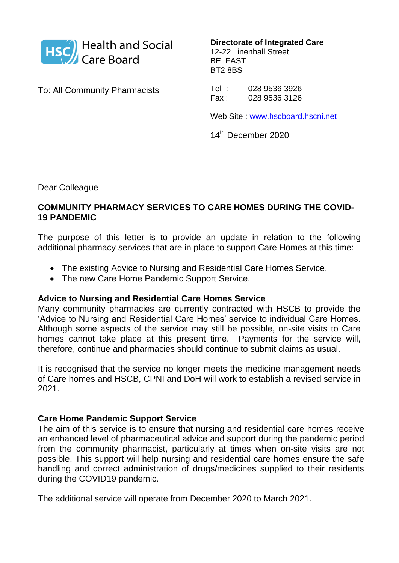

**Directorate of Integrated Care** 12-22 Linenhall Street BELFAST BT2 8BS

To: All Community Pharmacists

Tel : 028 9536 3926 Fax : 028 9536 3126

Web Site : [www.hscboard.hscni.net](http://www.hscboard.hscni.net/)

14<sup>th</sup> December 2020

Dear Colleague

### **COMMUNITY PHARMACY SERVICES TO CARE HOMES DURING THE COVID-19 PANDEMIC**

The purpose of this letter is to provide an update in relation to the following additional pharmacy services that are in place to support Care Homes at this time:

- The existing Advice to Nursing and Residential Care Homes Service.
- The new Care Home Pandemic Support Service.

#### **Advice to Nursing and Residential Care Homes Service**

Many community pharmacies are currently contracted with HSCB to provide the 'Advice to Nursing and Residential Care Homes' service to individual Care Homes. Although some aspects of the service may still be possible, on-site visits to Care homes cannot take place at this present time. Payments for the service will, therefore, continue and pharmacies should continue to submit claims as usual.

It is recognised that the service no longer meets the medicine management needs of Care homes and HSCB, CPNI and DoH will work to establish a revised service in 2021.

#### **Care Home Pandemic Support Service**

The aim of this service is to ensure that nursing and residential care homes receive an enhanced level of pharmaceutical advice and support during the pandemic period from the community pharmacist, particularly at times when on-site visits are not possible. This support will help nursing and residential care homes ensure the safe handling and correct administration of drugs/medicines supplied to their residents during the COVID19 pandemic.

The additional service will operate from December 2020 to March 2021.